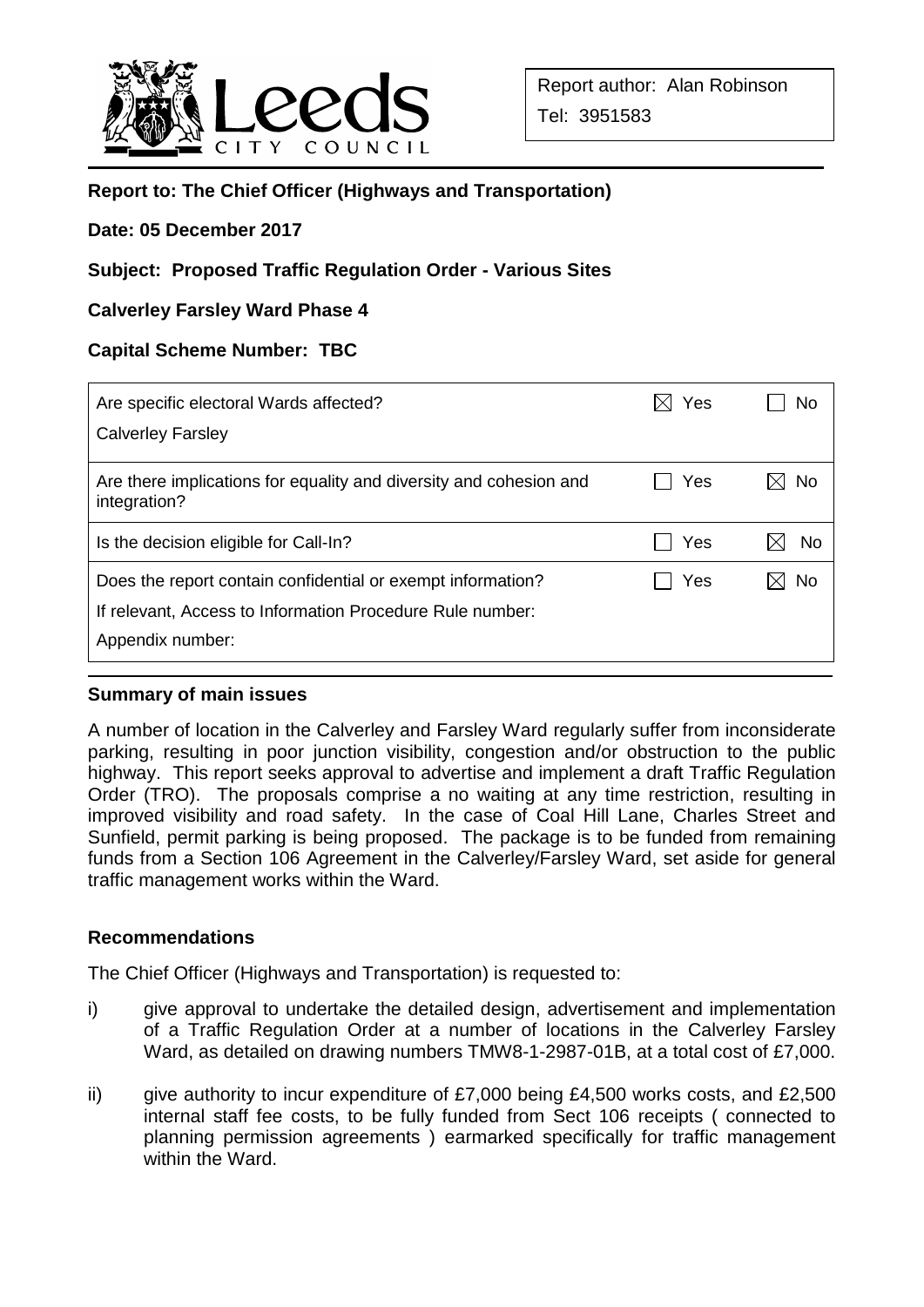

# **Report to: The Chief Officer (Highways and Transportation)**

#### **Date: 05 December 2017**

# **Subject: Proposed Traffic Regulation Order - Various Sites**

### **Calverley Farsley Ward Phase 4**

#### **Capital Scheme Number: TBC**

| Are specific electoral Wards affected?                                             | Yes | No |
|------------------------------------------------------------------------------------|-----|----|
| <b>Calverley Farsley</b>                                                           |     |    |
| Are there implications for equality and diversity and cohesion and<br>integration? | Yes | No |
| Is the decision eligible for Call-In?                                              | Yes | No |
| Does the report contain confidential or exempt information?                        | Yes | No |
| If relevant, Access to Information Procedure Rule number:<br>Appendix number:      |     |    |
|                                                                                    |     |    |

### **Summary of main issues**

A number of location in the Calverley and Farsley Ward regularly suffer from inconsiderate parking, resulting in poor junction visibility, congestion and/or obstruction to the public highway. This report seeks approval to advertise and implement a draft Traffic Regulation Order (TRO). The proposals comprise a no waiting at any time restriction, resulting in improved visibility and road safety. In the case of Coal Hill Lane, Charles Street and Sunfield, permit parking is being proposed. The package is to be funded from remaining funds from a Section 106 Agreement in the Calverley/Farsley Ward, set aside for general traffic management works within the Ward.

#### **Recommendations**

The Chief Officer (Highways and Transportation) is requested to:

- i) give approval to undertake the detailed design, advertisement and implementation of a Traffic Regulation Order at a number of locations in the Calverley Farsley Ward, as detailed on drawing numbers TMW8-1-2987-01B, at a total cost of £7,000.
- ii) give authority to incur expenditure of  $£7,000$  being  $£4,500$  works costs, and  $£2,500$ internal staff fee costs, to be fully funded from Sect 106 receipts ( connected to planning permission agreements ) earmarked specifically for traffic management within the Ward.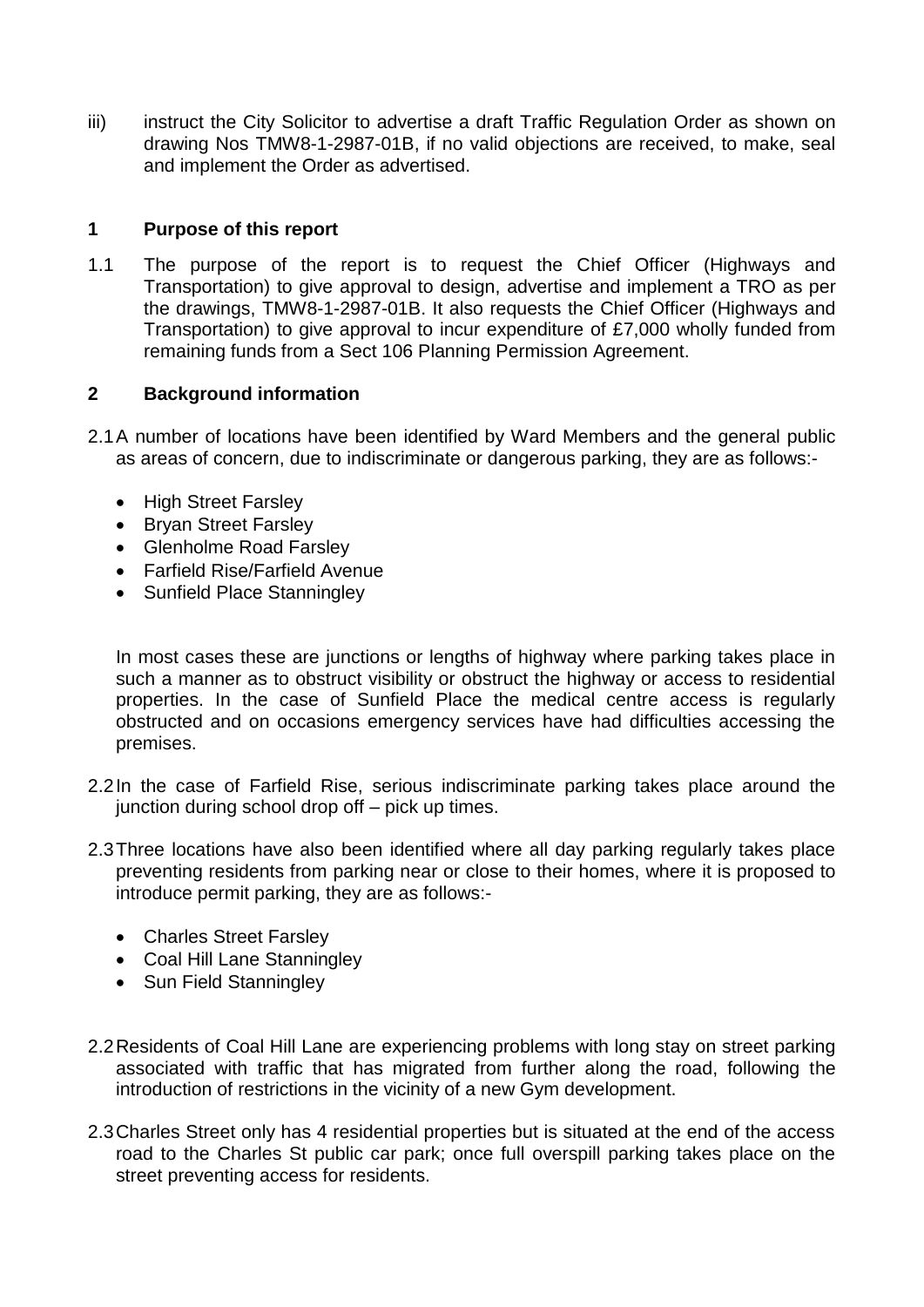iii) instruct the City Solicitor to advertise a draft Traffic Regulation Order as shown on drawing Nos TMW8-1-2987-01B, if no valid objections are received, to make, seal and implement the Order as advertised.

### **1 Purpose of this report**

1.1 The purpose of the report is to request the Chief Officer (Highways and Transportation) to give approval to design, advertise and implement a TRO as per the drawings, TMW8-1-2987-01B. It also requests the Chief Officer (Highways and Transportation) to give approval to incur expenditure of £7,000 wholly funded from remaining funds from a Sect 106 Planning Permission Agreement.

### **2 Background information**

- 2.1A number of locations have been identified by Ward Members and the general public as areas of concern, due to indiscriminate or dangerous parking, they are as follows:-
	- High Street Farsley
	- Bryan Street Farsley
	- Glenholme Road Farsley
	- Farfield Rise/Farfield Avenue
	- Sunfield Place Stanningley

In most cases these are junctions or lengths of highway where parking takes place in such a manner as to obstruct visibility or obstruct the highway or access to residential properties. In the case of Sunfield Place the medical centre access is regularly obstructed and on occasions emergency services have had difficulties accessing the premises.

- 2.2In the case of Farfield Rise, serious indiscriminate parking takes place around the junction during school drop off – pick up times.
- 2.3Three locations have also been identified where all day parking regularly takes place preventing residents from parking near or close to their homes, where it is proposed to introduce permit parking, they are as follows:-
	- Charles Street Farsley
	- Coal Hill Lane Stanningley
	- Sun Field Stanningley
- 2.2Residents of Coal Hill Lane are experiencing problems with long stay on street parking associated with traffic that has migrated from further along the road, following the introduction of restrictions in the vicinity of a new Gym development.
- 2.3Charles Street only has 4 residential properties but is situated at the end of the access road to the Charles St public car park; once full overspill parking takes place on the street preventing access for residents.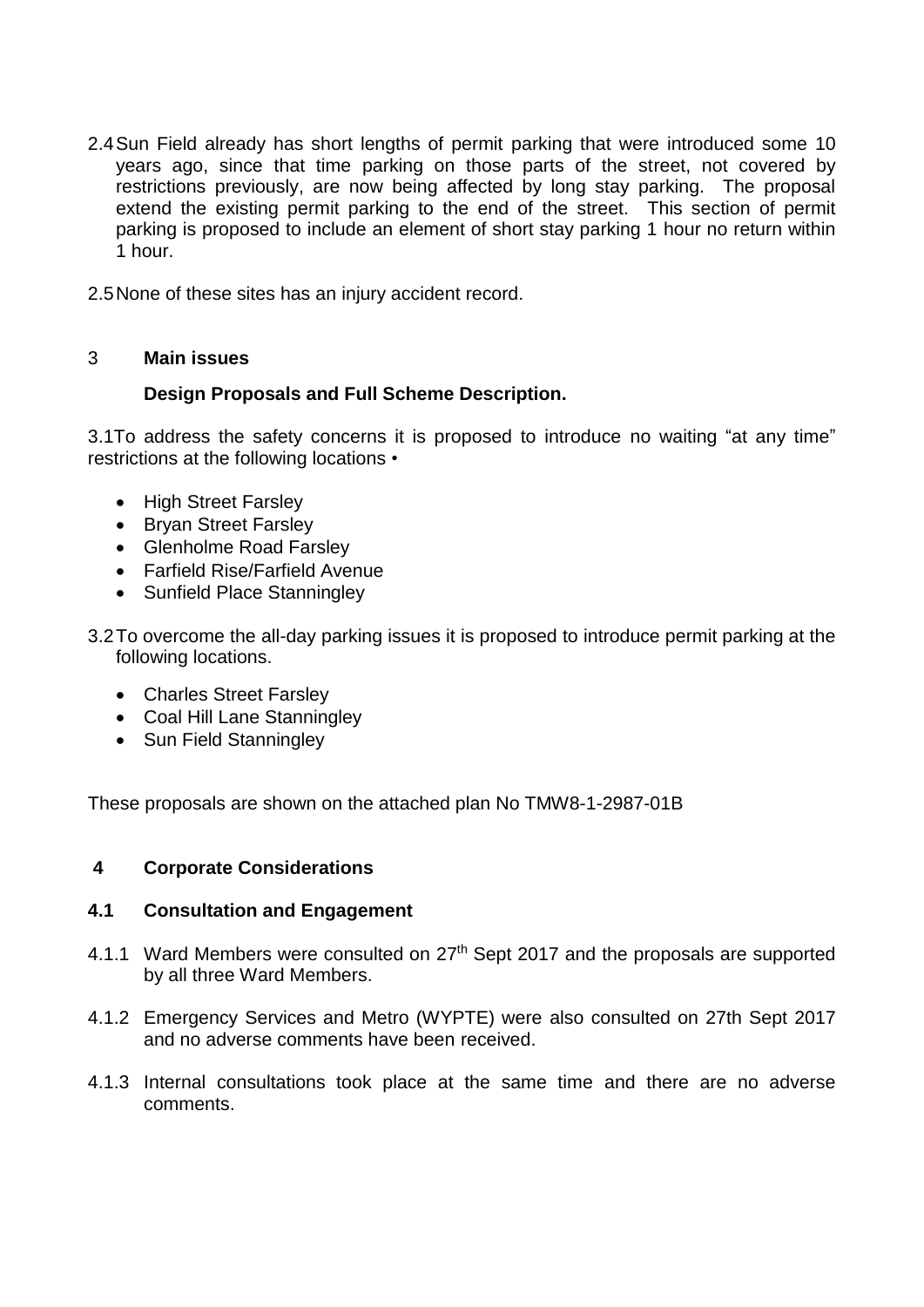- 2.4Sun Field already has short lengths of permit parking that were introduced some 10 years ago, since that time parking on those parts of the street, not covered by restrictions previously, are now being affected by long stay parking. The proposal extend the existing permit parking to the end of the street. This section of permit parking is proposed to include an element of short stay parking 1 hour no return within 1 hour.
- 2.5None of these sites has an injury accident record.

## 3 **Main issues**

## **Design Proposals and Full Scheme Description.**

3.1To address the safety concerns it is proposed to introduce no waiting "at any time" restrictions at the following locations •

- High Street Farsley
- Bryan Street Farsley
- Glenholme Road Farsley
- Farfield Rise/Farfield Avenue
- Sunfield Place Stanningley

3.2To overcome the all-day parking issues it is proposed to introduce permit parking at the following locations.

- Charles Street Farsley
- Coal Hill Lane Stanningley
- Sun Field Stanningley

These proposals are shown on the attached plan No TMW8-1-2987-01B

### **4 Corporate Considerations**

### **4.1 Consultation and Engagement**

- 4.1.1 Ward Members were consulted on 27<sup>th</sup> Sept 2017 and the proposals are supported by all three Ward Members.
- 4.1.2 Emergency Services and Metro (WYPTE) were also consulted on 27th Sept 2017 and no adverse comments have been received.
- 4.1.3 Internal consultations took place at the same time and there are no adverse comments.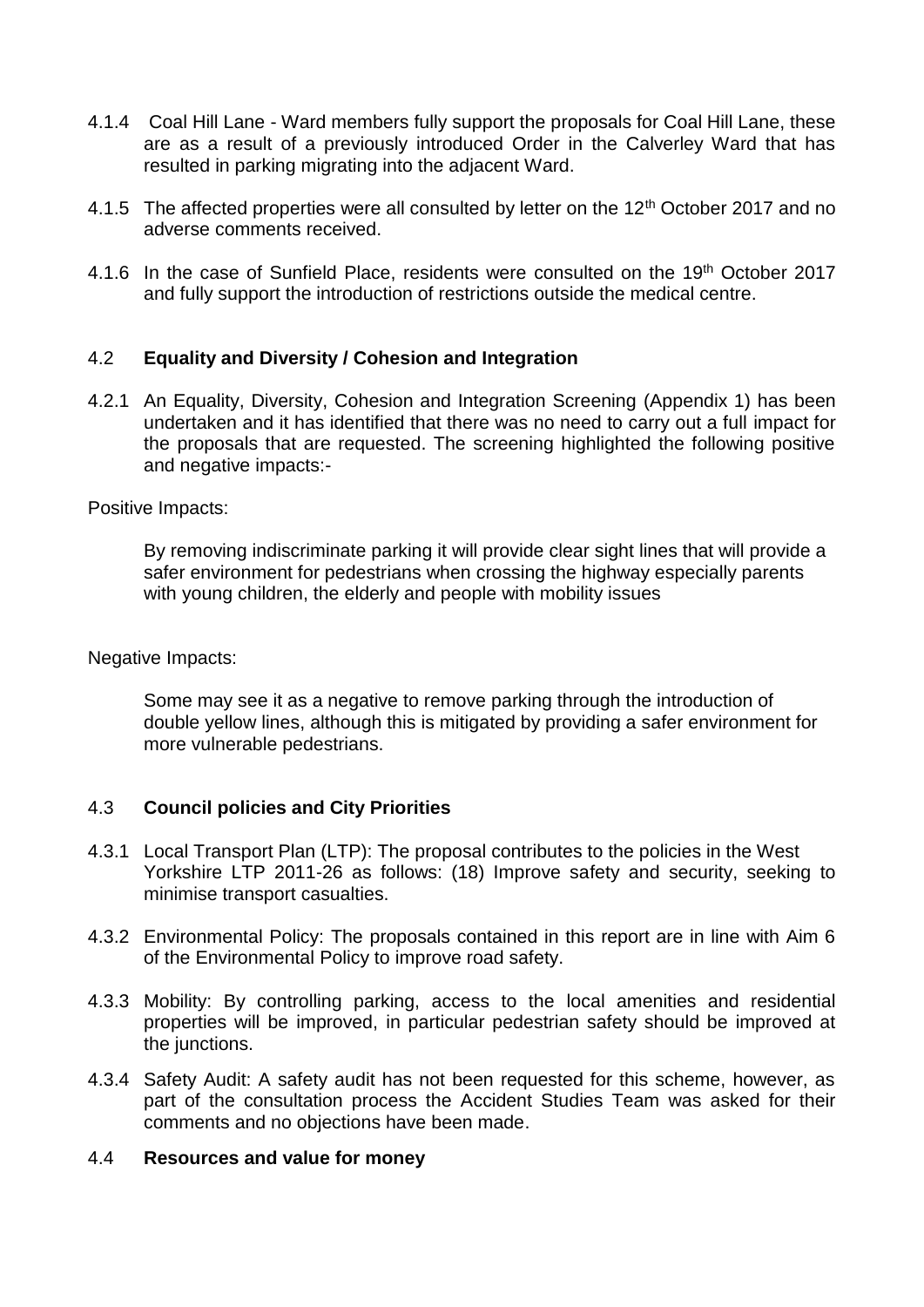- 4.1.4 Coal Hill Lane Ward members fully support the proposals for Coal Hill Lane, these are as a result of a previously introduced Order in the Calverley Ward that has resulted in parking migrating into the adjacent Ward.
- 4.1.5 The affected properties were all consulted by letter on the 12<sup>th</sup> October 2017 and no adverse comments received.
- 4.1.6 In the case of Sunfield Place, residents were consulted on the 19<sup>th</sup> October 2017 and fully support the introduction of restrictions outside the medical centre.

### 4.2 **Equality and Diversity / Cohesion and Integration**

4.2.1 An Equality, Diversity, Cohesion and Integration Screening (Appendix 1) has been undertaken and it has identified that there was no need to carry out a full impact for the proposals that are requested. The screening highlighted the following positive and negative impacts:-

Positive Impacts:

By removing indiscriminate parking it will provide clear sight lines that will provide a safer environment for pedestrians when crossing the highway especially parents with young children, the elderly and people with mobility issues

Negative Impacts:

Some may see it as a negative to remove parking through the introduction of double yellow lines, although this is mitigated by providing a safer environment for more vulnerable pedestrians.

### 4.3 **Council policies and City Priorities**

- 4.3.1 Local Transport Plan (LTP): The proposal contributes to the policies in the West Yorkshire LTP 2011-26 as follows: (18) Improve safety and security, seeking to minimise transport casualties.
- 4.3.2 Environmental Policy: The proposals contained in this report are in line with Aim 6 of the Environmental Policy to improve road safety.
- 4.3.3 Mobility: By controlling parking, access to the local amenities and residential properties will be improved, in particular pedestrian safety should be improved at the junctions.
- 4.3.4 Safety Audit: A safety audit has not been requested for this scheme, however, as part of the consultation process the Accident Studies Team was asked for their comments and no objections have been made.

#### 4.4 **Resources and value for money**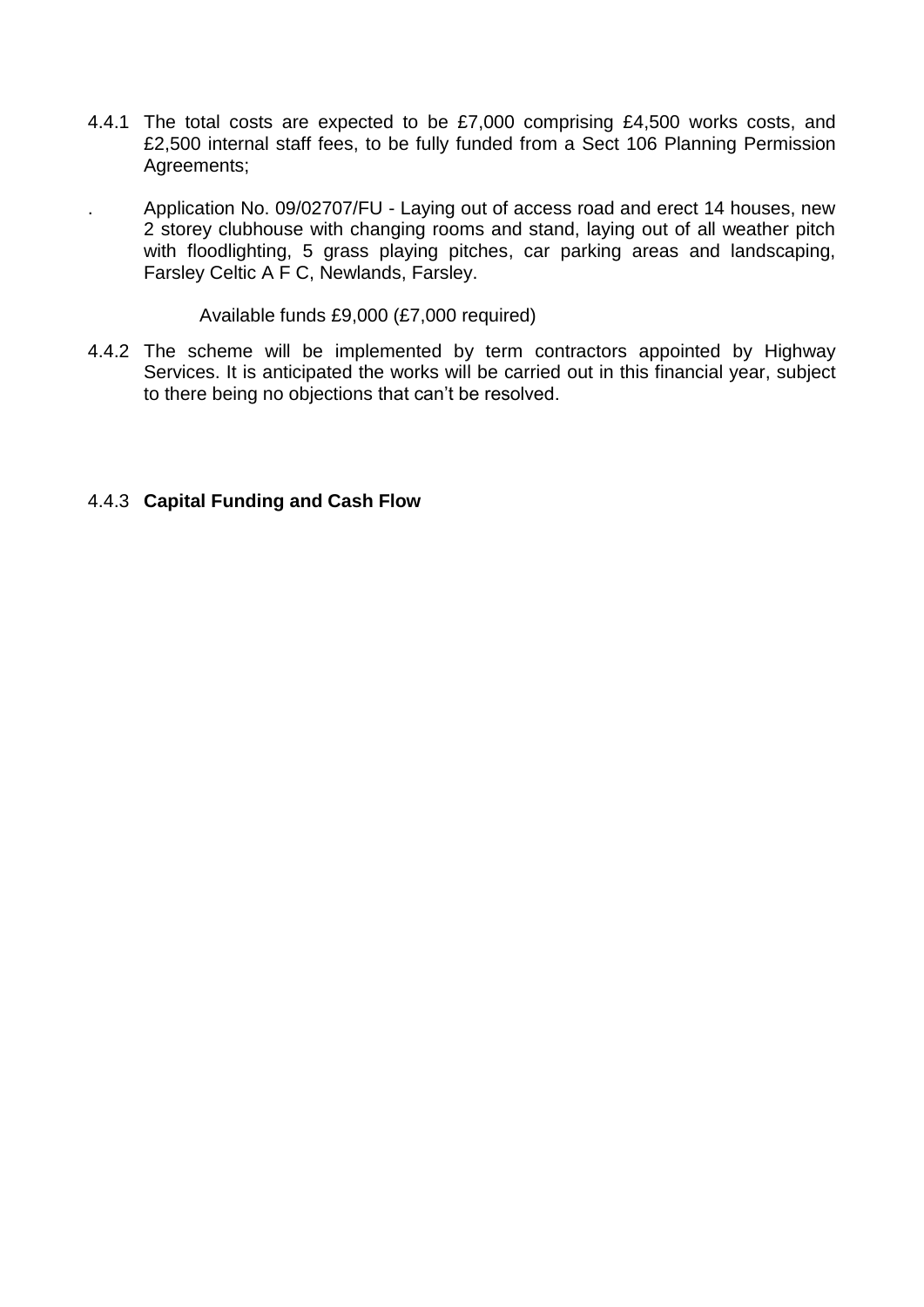- 4.4.1 The total costs are expected to be £7,000 comprising £4,500 works costs, and £2,500 internal staff fees, to be fully funded from a Sect 106 Planning Permission Agreements;
	- . Application No. 09/02707/FU Laying out of access road and erect 14 houses, new 2 storey clubhouse with changing rooms and stand, laying out of all weather pitch with floodlighting, 5 grass playing pitches, car parking areas and landscaping, Farsley Celtic A F C, Newlands, Farsley.

Available funds £9,000 (£7,000 required)

4.4.2 The scheme will be implemented by term contractors appointed by Highway Services. It is anticipated the works will be carried out in this financial year, subject to there being no objections that can't be resolved.

### 4.4.3 **Capital Funding and Cash Flow**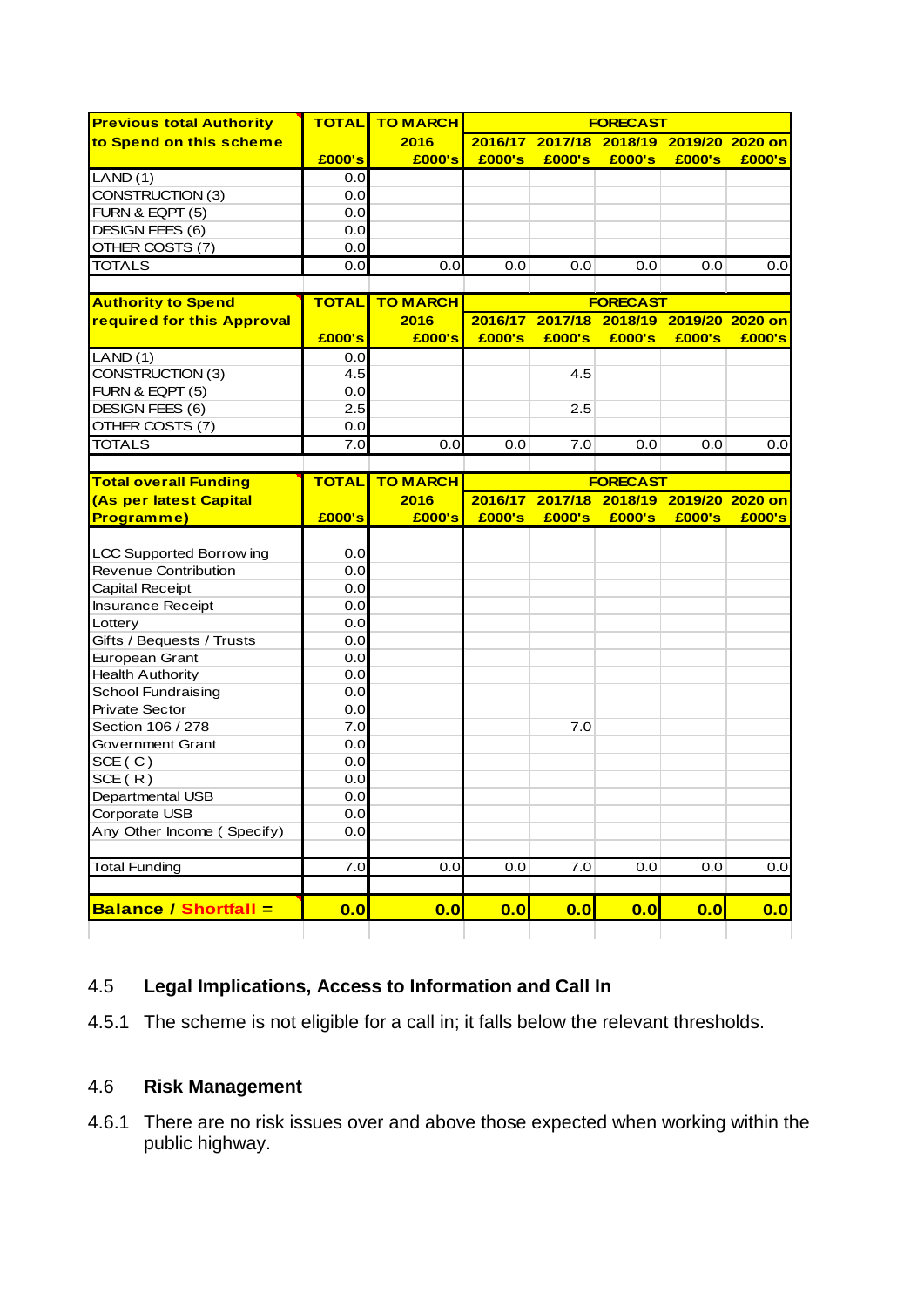| <b>Previous total Authority</b> | <b>TOTAL</b> | <b>TO MARCH</b> |         |         | <b>FORECAST</b>                 |        |        |
|---------------------------------|--------------|-----------------|---------|---------|---------------------------------|--------|--------|
| to Spend on this scheme         |              | 2016            | 2016/17 |         | 2017/18 2018/19 2019/20 2020 on |        |        |
|                                 | £000's       | £000's          | £000's  | £000's  | £000's                          | £000's | £000's |
| LAND(1)                         | 0.0          |                 |         |         |                                 |        |        |
| CONSTRUCTION (3)                | 0.0          |                 |         |         |                                 |        |        |
| FURN & EQPT (5)                 | 0.0          |                 |         |         |                                 |        |        |
| DESIGN FEES (6)                 | 0.0          |                 |         |         |                                 |        |        |
| OTHER COSTS (7)                 | 0.0          |                 |         |         |                                 |        |        |
| <b>TOTALS</b>                   | 0.0          | 0.0             | 0.0     | 0.0     | 0.0                             | 0.0    | 0.0    |
|                                 |              |                 |         |         |                                 |        |        |
| <b>Authority to Spend</b>       | <b>TOTAL</b> | <b>TO MARCH</b> |         |         | <b>FORECAST</b>                 |        |        |
| required for this Approval      |              | 2016            | 2016/17 |         | 2017/18 2018/19 2019/20 2020 on |        |        |
|                                 | £000's       | £000's          | £000's  | £000's  | £000's                          | £000's | £000's |
| LAND(1)                         | 0.0          |                 |         |         |                                 |        |        |
| CONSTRUCTION (3)                | 4.5          |                 |         | 4.5     |                                 |        |        |
| FURN & EQPT (5)                 | 0.0          |                 |         |         |                                 |        |        |
| DESIGN FEES (6)                 | 2.5          |                 |         | 2.5     |                                 |        |        |
| OTHER COSTS (7)                 | 0.0          |                 |         |         |                                 |        |        |
| <b>TOTALS</b>                   | 7.0          | 0.0             | 0.0     | 7.0     | 0.0                             | 0.0    | 0.0    |
|                                 |              |                 |         |         |                                 |        |        |
| <b>Total overall Funding</b>    | <b>TOTAL</b> | <b>TO MARCH</b> |         |         | <b>FORECAST</b>                 |        |        |
| (As per latest Capital          |              | 2016            | 2016/17 | 2017/18 | 2018/19 2019/20 2020 on         |        |        |
| Programme)                      | £000's       | £000's          | £000's  | £000's  | £000's                          | £000's | £000's |
|                                 |              |                 |         |         |                                 |        |        |
| <b>LCC Supported Borrow ing</b> | 0.0          |                 |         |         |                                 |        |        |
| <b>Revenue Contribution</b>     | 0.0          |                 |         |         |                                 |        |        |
| Capital Receipt                 | 0.0          |                 |         |         |                                 |        |        |
| <b>Insurance Receipt</b>        | 0.0          |                 |         |         |                                 |        |        |
| Lottery                         | 0.0          |                 |         |         |                                 |        |        |
| Gifts / Bequests / Trusts       | 0.0          |                 |         |         |                                 |        |        |
| European Grant                  | 0.0          |                 |         |         |                                 |        |        |
| <b>Health Authority</b>         | 0.0          |                 |         |         |                                 |        |        |
| School Fundraising              | 0.0          |                 |         |         |                                 |        |        |
| <b>Private Sector</b>           | 0.0          |                 |         |         |                                 |        |        |
| Section 106 / 278               | 7.0          |                 |         | 7.0     |                                 |        |        |
| Government Grant                | 0.0          |                 |         |         |                                 |        |        |
| SCE(C)                          | 0.0          |                 |         |         |                                 |        |        |
| SCE(R)                          | 0.0          |                 |         |         |                                 |        |        |
| Departmental USB                |              |                 |         |         |                                 |        |        |
|                                 | 0.0          |                 |         |         |                                 |        |        |
| Corporate USB                   | 0.0          |                 |         |         |                                 |        |        |
| Any Other Income (Specify)      | 0.0          |                 |         |         |                                 |        |        |
|                                 |              |                 |         |         |                                 |        |        |
| <b>Total Funding</b>            | 7.0          | 0.0             | 0.0     | 7.0     | 0.0                             | 0.0    | 0.0    |
| <b>Balance / Shortfall =</b>    | 0.0          | 0.0             | 0.0     | 0.0     | 0.0                             | 0.0    | 0.0    |

# 4.5 **Legal Implications, Access to Information and Call In**

4.5.1 The scheme is not eligible for a call in; it falls below the relevant thresholds.

# 4.6 **Risk Management**

4.6.1 There are no risk issues over and above those expected when working within the public highway.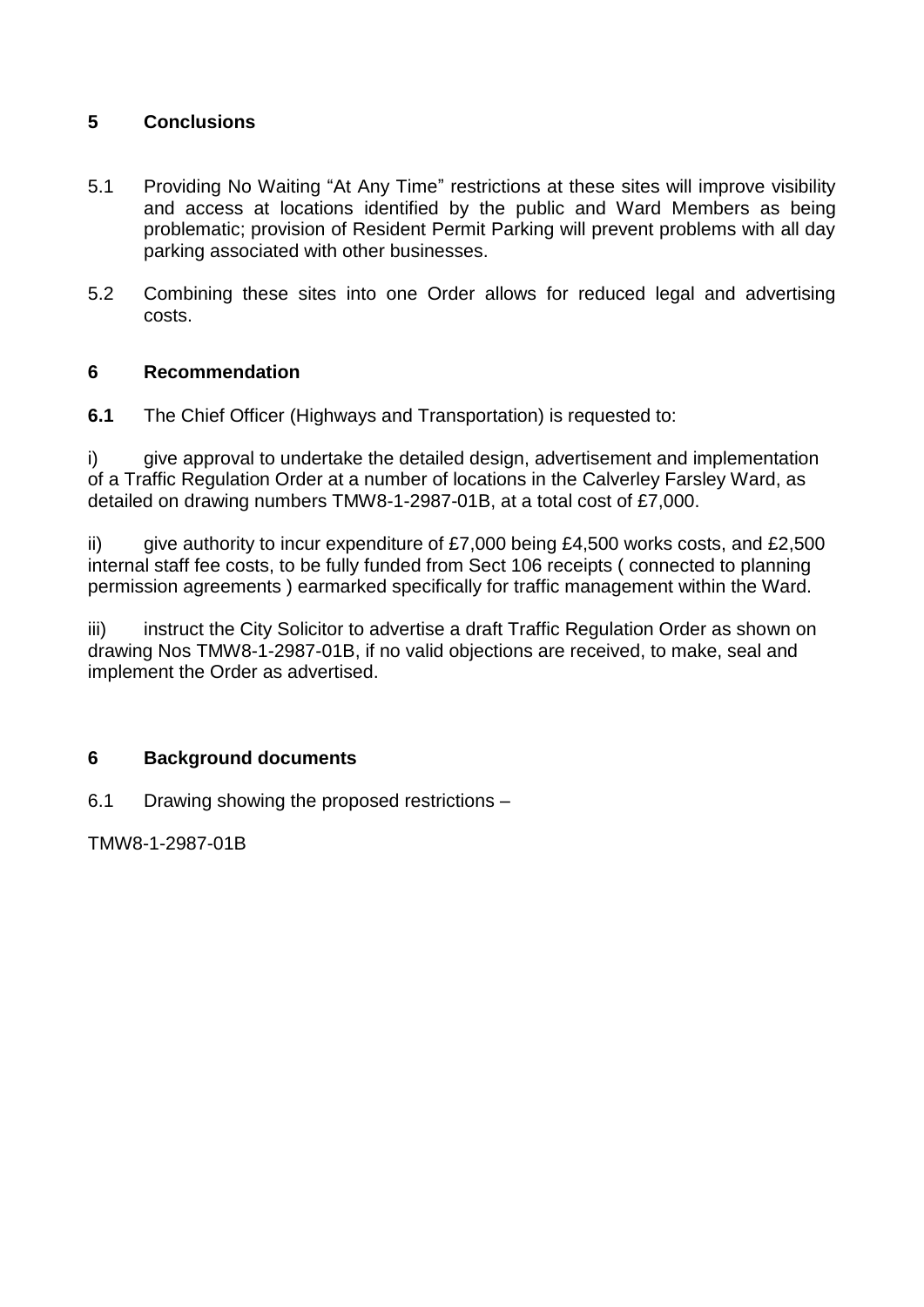# **5 Conclusions**

- 5.1 Providing No Waiting "At Any Time" restrictions at these sites will improve visibility and access at locations identified by the public and Ward Members as being problematic; provision of Resident Permit Parking will prevent problems with all day parking associated with other businesses.
- 5.2 Combining these sites into one Order allows for reduced legal and advertising costs.

# **6 Recommendation**

**6.1** The Chief Officer (Highways and Transportation) is requested to:

i) give approval to undertake the detailed design, advertisement and implementation of a Traffic Regulation Order at a number of locations in the Calverley Farsley Ward, as detailed on drawing numbers TMW8-1-2987-01B, at a total cost of £7,000.

ii) give authority to incur expenditure of  $£7,000$  being  $£4,500$  works costs, and  $£2,500$ internal staff fee costs, to be fully funded from Sect 106 receipts ( connected to planning permission agreements ) earmarked specifically for traffic management within the Ward.

iii) instruct the City Solicitor to advertise a draft Traffic Regulation Order as shown on drawing Nos TMW8-1-2987-01B, if no valid objections are received, to make, seal and implement the Order as advertised.

# **6 Background documents**

6.1 Drawing showing the proposed restrictions –

TMW8-1-2987-01B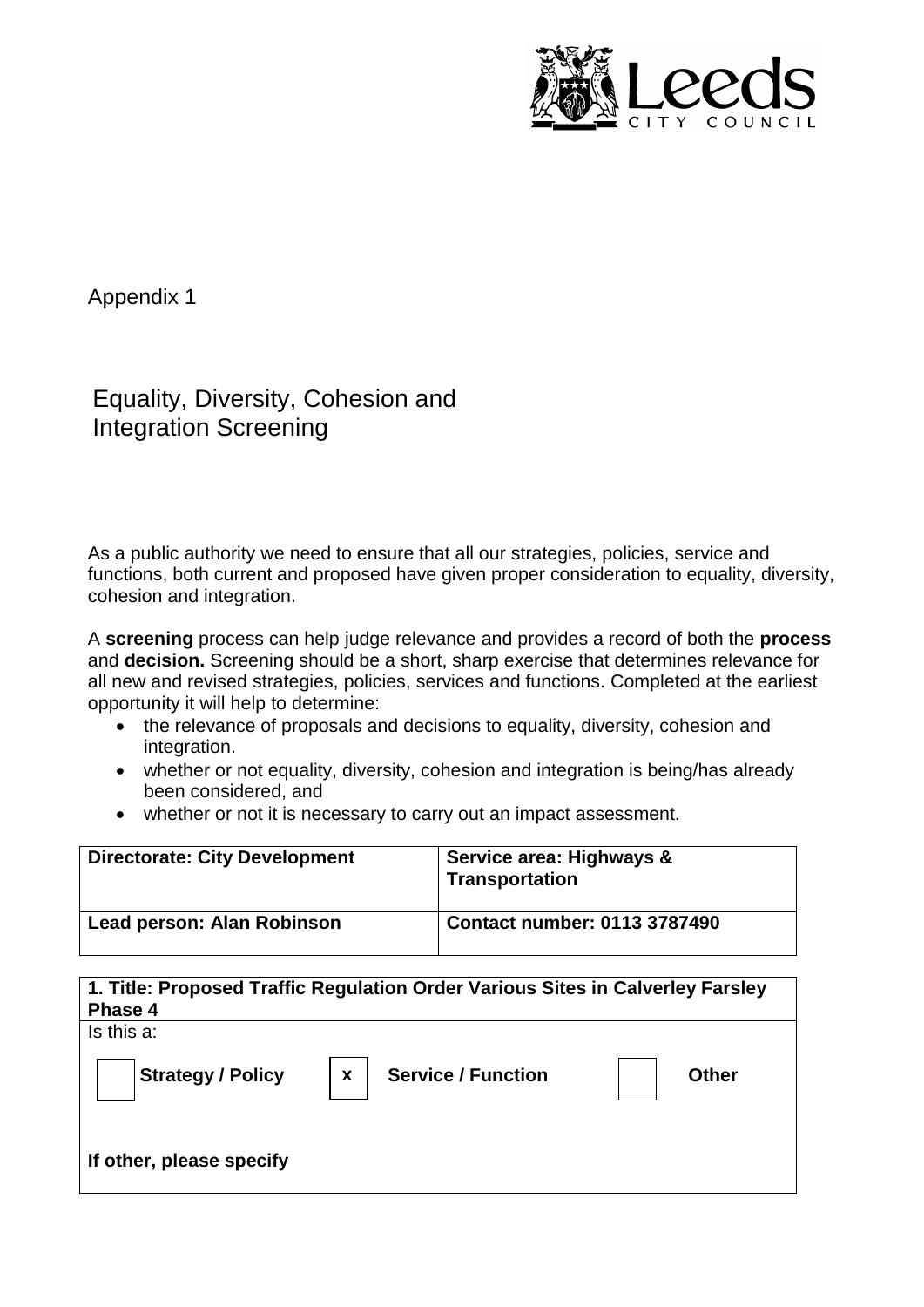

Appendix 1

Equality, Diversity, Cohesion and Integration Screening

As a public authority we need to ensure that all our strategies, policies, service and functions, both current and proposed have given proper consideration to equality, diversity, cohesion and integration.

A **screening** process can help judge relevance and provides a record of both the **process** and **decision.** Screening should be a short, sharp exercise that determines relevance for all new and revised strategies, policies, services and functions. Completed at the earliest opportunity it will help to determine:

- the relevance of proposals and decisions to equality, diversity, cohesion and integration.
- whether or not equality, diversity, cohesion and integration is being/has already been considered, and
- whether or not it is necessary to carry out an impact assessment.

| <b>Directorate: City Development</b> | Service area: Highways &<br><b>Transportation</b> |
|--------------------------------------|---------------------------------------------------|
| Lead person: Alan Robinson           | <b>Contact number: 0113 3787490</b>               |

| Phase 4                  | 1. Title: Proposed Traffic Regulation Order Various Sites in Calverley Farsley |              |
|--------------------------|--------------------------------------------------------------------------------|--------------|
| Is this a:               |                                                                                |              |
| <b>Strategy / Policy</b> | <b>Service / Function</b><br>$\mathbf{x}$                                      | <b>Other</b> |
| If other, please specify |                                                                                |              |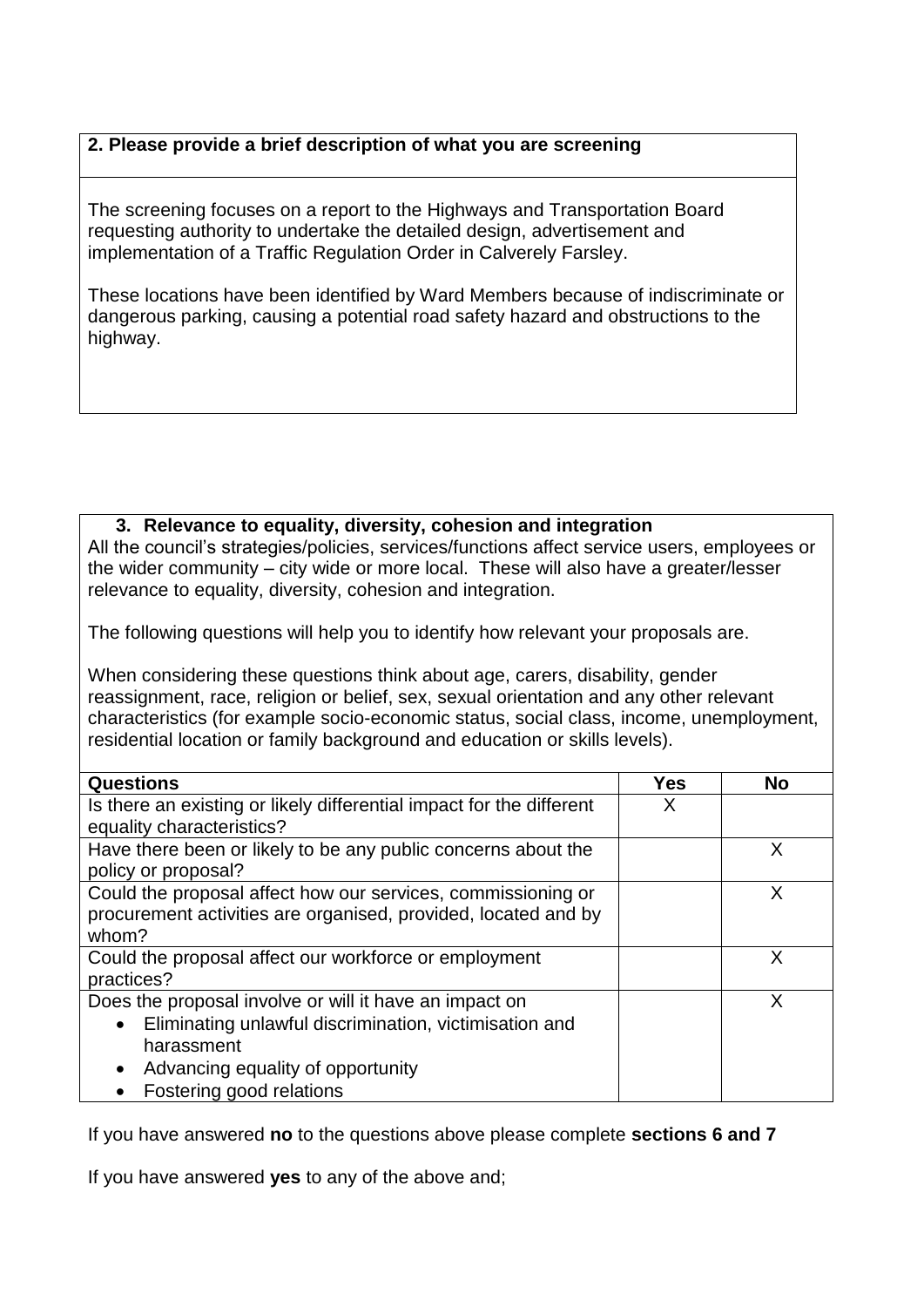# **2. Please provide a brief description of what you are screening**

The screening focuses on a report to the Highways and Transportation Board requesting authority to undertake the detailed design, advertisement and implementation of a Traffic Regulation Order in Calverely Farsley.

These locations have been identified by Ward Members because of indiscriminate or dangerous parking, causing a potential road safety hazard and obstructions to the highway.

## **3. Relevance to equality, diversity, cohesion and integration**

All the council's strategies/policies, services/functions affect service users, employees or the wider community – city wide or more local. These will also have a greater/lesser relevance to equality, diversity, cohesion and integration.

The following questions will help you to identify how relevant your proposals are.

When considering these questions think about age, carers, disability, gender reassignment, race, religion or belief, sex, sexual orientation and any other relevant characteristics (for example socio-economic status, social class, income, unemployment, residential location or family background and education or skills levels).

| <b>Questions</b>                                                     | <b>Yes</b> | <b>No</b> |
|----------------------------------------------------------------------|------------|-----------|
| Is there an existing or likely differential impact for the different | X          |           |
| equality characteristics?                                            |            |           |
| Have there been or likely to be any public concerns about the        |            |           |
| policy or proposal?                                                  |            |           |
| Could the proposal affect how our services, commissioning or         |            | X         |
| procurement activities are organised, provided, located and by       |            |           |
| whom?                                                                |            |           |
| Could the proposal affect our workforce or employment                |            | x         |
| practices?                                                           |            |           |
| Does the proposal involve or will it have an impact on               |            | x         |
| Eliminating unlawful discrimination, victimisation and<br>$\bullet$  |            |           |
| harassment                                                           |            |           |
| Advancing equality of opportunity<br>$\bullet$                       |            |           |
| Fostering good relations                                             |            |           |

If you have answered **no** to the questions above please complete **sections 6 and 7**

If you have answered **yes** to any of the above and;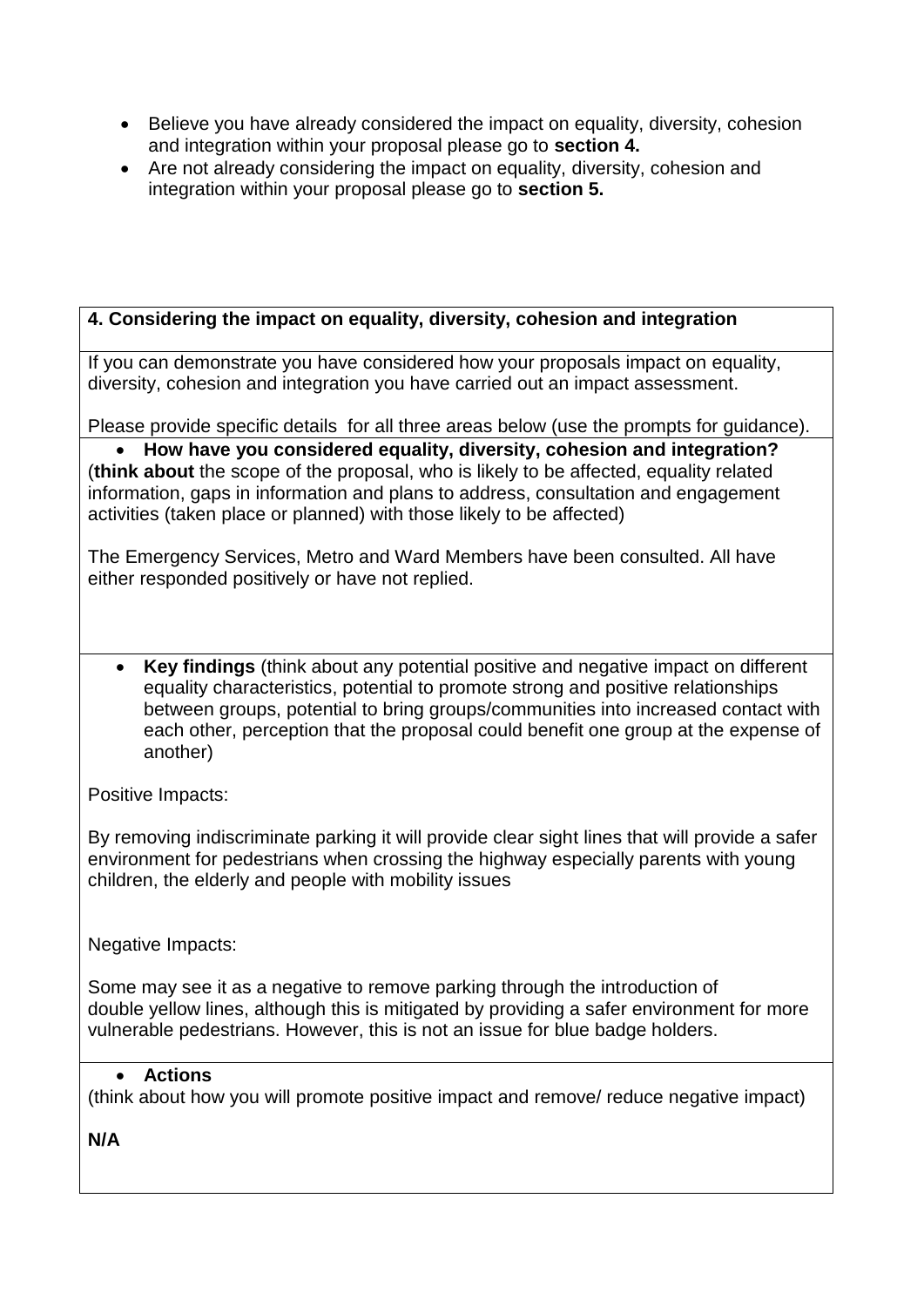- Believe you have already considered the impact on equality, diversity, cohesion and integration within your proposal please go to **section 4.**
- Are not already considering the impact on equality, diversity, cohesion and integration within your proposal please go to **section 5.**

# **4. Considering the impact on equality, diversity, cohesion and integration**

If you can demonstrate you have considered how your proposals impact on equality, diversity, cohesion and integration you have carried out an impact assessment.

Please provide specific details for all three areas below (use the prompts for guidance).

 **How have you considered equality, diversity, cohesion and integration?** (**think about** the scope of the proposal, who is likely to be affected, equality related information, gaps in information and plans to address, consultation and engagement activities (taken place or planned) with those likely to be affected)

The Emergency Services, Metro and Ward Members have been consulted. All have either responded positively or have not replied.

 **Key findings** (think about any potential positive and negative impact on different equality characteristics, potential to promote strong and positive relationships between groups, potential to bring groups/communities into increased contact with each other, perception that the proposal could benefit one group at the expense of another)

Positive Impacts:

By removing indiscriminate parking it will provide clear sight lines that will provide a safer environment for pedestrians when crossing the highway especially parents with young children, the elderly and people with mobility issues

Negative Impacts:

Some may see it as a negative to remove parking through the introduction of double yellow lines, although this is mitigated by providing a safer environment for more vulnerable pedestrians. However, this is not an issue for blue badge holders.

# **Actions**

(think about how you will promote positive impact and remove/ reduce negative impact)

**N/A**